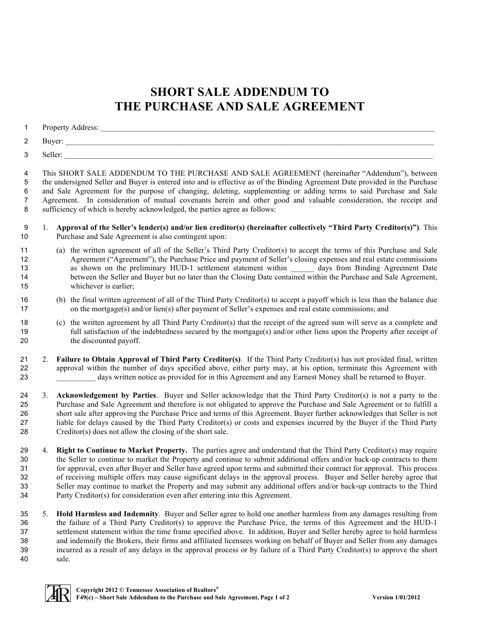## **SHORT SALE ADDENDUM TO THE PURCHASE AND SALE AGREEMENT**

| 1                                  |    |                                                                                                                                                                                                                                                                                                                                                                                                                                                                                                                                                                                                                                                                                                              |
|------------------------------------|----|--------------------------------------------------------------------------------------------------------------------------------------------------------------------------------------------------------------------------------------------------------------------------------------------------------------------------------------------------------------------------------------------------------------------------------------------------------------------------------------------------------------------------------------------------------------------------------------------------------------------------------------------------------------------------------------------------------------|
| 2                                  |    |                                                                                                                                                                                                                                                                                                                                                                                                                                                                                                                                                                                                                                                                                                              |
| 3                                  |    |                                                                                                                                                                                                                                                                                                                                                                                                                                                                                                                                                                                                                                                                                                              |
| 4<br>5<br>6<br>$\overline{7}$<br>8 |    | This SHORT SALE ADDENDUM TO THE PURCHASE AND SALE AGREEMENT (hereinafter "Addendum"), between<br>the undersigned Seller and Buyer is entered into and is effective as of the Binding Agreement Date provided in the Purchase<br>and Sale Agreement for the purpose of changing, deleting, supplementing or adding terms to said Purchase and Sale<br>Agreement. In consideration of mutual covenants herein and other good and valuable consideration, the receipt and<br>sufficiency of which is hereby acknowledged, the parties agree as follows:                                                                                                                                                         |
| 9<br>10                            | 1. | Approval of the Seller's lender(s) and/or lien creditor(s) (hereinafter collectively "Third Party Creditor(s)"). This<br>Purchase and Sale Agreement is also contingent upon:                                                                                                                                                                                                                                                                                                                                                                                                                                                                                                                                |
| 11<br>12<br>13<br>14<br>15         |    | (a) the written agreement of all of the Seller's Third Party Creditor(s) to accept the terms of this Purchase and Sale<br>Agreement ("Agreement"), the Purchase Price and payment of Seller's closing expenses and real estate commissions<br>as shown on the preliminary HUD-1 settlement statement within _______ days from Binding Agreement Date<br>between the Seller and Buyer but no later than the Closing Date contained within the Purchase and Sale Agreement,<br>whichever is earlier;                                                                                                                                                                                                           |
| 16<br>17                           |    | (b) the final written agreement of all of the Third Party Creditor(s) to accept a payoff which is less than the balance due<br>on the mortgage(s) and/or lien(s) after payment of Seller's expenses and real estate commissions; and                                                                                                                                                                                                                                                                                                                                                                                                                                                                         |
| 18<br>19<br>20                     |    | (c) the written agreement by all Third Party Creditor(s) that the receipt of the agreed sum will serve as a complete and<br>full satisfaction of the indebtedness secured by the mortgage(s) and/or other liens upon the Property after receipt of<br>the discounted payoff.                                                                                                                                                                                                                                                                                                                                                                                                                                 |
| 21<br>22<br>23                     | 2. | Failure to Obtain Approval of Third Party Creditor(s). If the Third Party Creditor(s) has not provided final, written<br>approval within the number of days specified above, either party may, at his option, terminate this Agreement with<br>days written notice as provided for in this Agreement and any Earnest Money shall be returned to Buyer.                                                                                                                                                                                                                                                                                                                                                       |
| 24<br>25<br>26<br>27<br>28         | 3. | Acknowledgement by Parties. Buyer and Seller acknowledge that the Third Party Creditor(s) is not a party to the<br>Purchase and Sale Agreement and therefore is not obligated to approve the Purchase and Sale Agreement or to fulfill a<br>short sale after approving the Purchase Price and terms of this Agreement. Buyer further acknowledges that Seller is not<br>liable for delays caused by the Third Party Creditor(s) or costs and expenses incurred by the Buyer if the Third Party<br>Creditor(s) does not allow the closing of the short sale.                                                                                                                                                  |
| 29<br>30<br>31<br>32<br>33<br>34   | 4. | Right to Continue to Market Property. The parties agree and understand that the Third Party Creditor(s) may require<br>the Seller to continue to market the Property and continue to submit additional offers and/or back-up contracts to them<br>for approval, even after Buyer and Seller have agreed upon terms and submitted their contract for approval. This process<br>of receiving multiple offers may cause significant delays in the approval process. Buyer and Seller hereby agree that<br>Seller may continue to market the Property and may submit any additional offers and/or back-up contracts to the Third<br>Party Creditor(s) for consideration even after entering into this Agreement. |
| 25                                 |    | Hold Harmless and Indomnity Puyar and Seller gares to hold ane another harmless from any damages resulting from                                                                                                                                                                                                                                                                                                                                                                                                                                                                                                                                                                                              |

 5. **Hold Harmless and Indemnity**. Buyer and Seller agree to hold one another harmless from any damages resulting from the failure of a Third Party Creditor(s) to approve the Purchase Price, the terms of this Agreement and the HUD-1 settlement statement within the time frame specified above. In addition, Buyer and Seller hereby agree to hold harmless and indemnify the Brokers, their firms and affiliated licensees working on behalf of Buyer and Seller from any damages incurred as a result of any delays in the approval process or by failure of a Third Party Creditor(s) to approve the short sale.